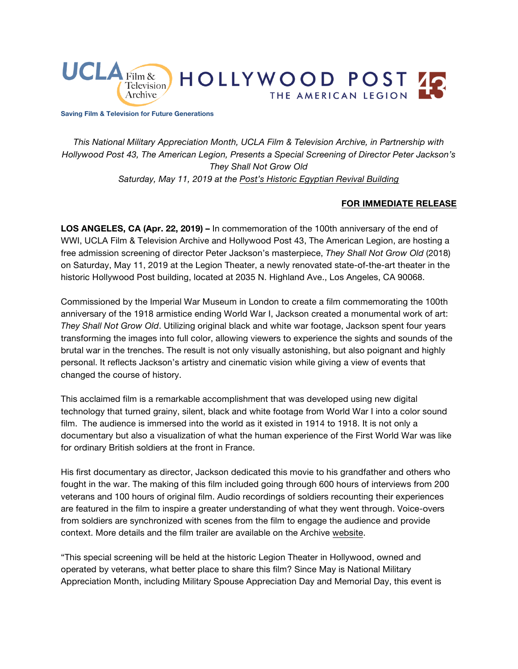

**Saving Film & Television for Future Generations**

*This National Military Appreciation Month, UCLA Film & Television Archive, in Partnership with Hollywood Post 43, The American Legion, Presents a Special Screening of Director Peter Jackson's They Shall Not Grow Old Saturday, May 11, 2019 at the [Post's Historic Egyptian Revival Building](https://www.cinema.ucla.edu/venues/hollywood-post-43-american-legion)*

### **FOR IMMEDIATE RELEASE**

**LOS ANGELES, CA (Apr. 22, 2019) –** In commemoration of the 100th anniversary of the end of WWI, UCLA Film & Television Archive and Hollywood Post 43, The American Legion, are hosting a free admission screening of director Peter Jackson's masterpiece, *They Shall Not Grow Old* (2018) on Saturday, May 11, 2019 at the Legion Theater, a newly renovated state-of-the-art theater in the historic Hollywood Post building, located at 2035 N. Highland Ave., Los Angeles, CA 90068.

Commissioned by the Imperial War Museum in London to create a film commemorating the 100th anniversary of the 1918 armistice ending World War I, Jackson created a monumental work of art: *They Shall Not Grow Old*. Utilizing original black and white war footage, Jackson spent four years transforming the images into full color, allowing viewers to experience the sights and sounds of the brutal war in the trenches. The result is not only visually astonishing, but also poignant and highly personal. It reflects Jackson's artistry and cinematic vision while giving a view of events that changed the course of history.

This acclaimed film is a remarkable accomplishment that was developed using new digital technology that turned grainy, silent, black and white footage from World War I into a color sound film. The audience is immersed into the world as it existed in 1914 to 1918. It is not only a documentary but also a visualization of what the human experience of the First World War was like for ordinary British soldiers at the front in France.

His first documentary as director, Jackson dedicated this movie to his grandfather and others who fought in the war. The making of this film included going through 600 hours of interviews from 200 veterans and 100 hours of original film. Audio recordings of soldiers recounting their experiences are featured in the film to inspire a greater understanding of what they went through. Voice-overs from soldiers are synchronized with scenes from the film to engage the audience and provide context. More details and the film trailer are available on the Archive [website.](https://www.cinema.ucla.edu/events/2019/05/11/they-shall-not-grow-old)

"This special screening will be held at the historic Legion Theater in Hollywood, owned and operated by veterans, what better place to share this film? Since May is National Military Appreciation Month, including Military Spouse Appreciation Day and Memorial Day, this event is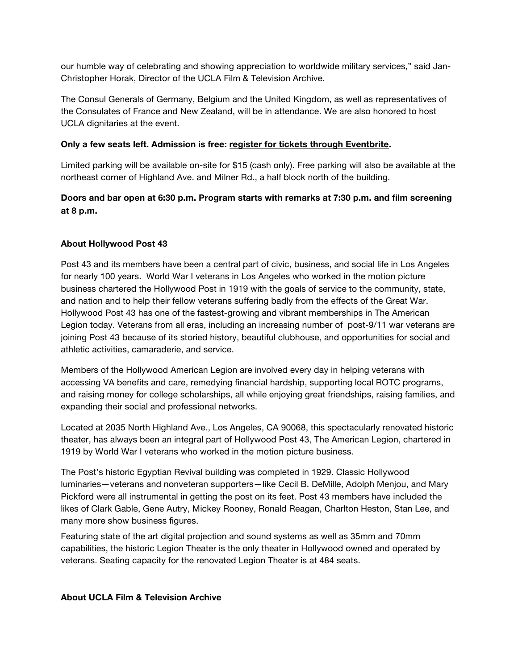our humble way of celebrating and showing appreciation to worldwide military services," said Jan-Christopher Horak, Director of the UCLA Film & Television Archive.

The Consul Generals of Germany, Belgium and the United Kingdom, as well as representatives of the Consulates of France and New Zealand, will be in attendance. We are also honored to host UCLA dignitaries at the event.

### **Only a few seats left. Admission is free: [register for tickets through](https://www.eventbrite.com/e/peter-jacksons-they-shall-not-grow-old-tickets-59506890712) Eventbrite.**

Limited parking will be available on-site for \$15 (cash only). Free parking will also be available at the northeast corner of Highland Ave. and Milner Rd., a half block north of the building.

# **Doors and bar open at 6:30 p.m. Program starts with remarks at 7:30 p.m. and film screening at 8 p.m.**

## **About Hollywood Post 43**

Post 43 and its members have been a central part of civic, business, and social life in Los Angeles for nearly 100 years. World War I veterans in Los Angeles who worked in the motion picture business chartered the Hollywood Post in 1919 with the goals of service to the community, state, and nation and to help their fellow veterans suffering badly from the effects of the Great War. Hollywood Post 43 has one of the fastest-growing and vibrant memberships in The American Legion today. Veterans from all eras, including an increasing number of post-9/11 war veterans are joining Post 43 because of its storied history, beautiful clubhouse, and opportunities for social and athletic activities, camaraderie, and service.

Members of the Hollywood American Legion are involved every day in helping veterans with accessing VA benefits and care, remedying financial hardship, supporting local ROTC programs, and raising money for college scholarships, all while enjoying great friendships, raising families, and expanding their social and professional networks.

Located at 2035 North Highland Ave., Los Angeles, CA 90068, this spectacularly renovated historic theater, has always been an integral part of Hollywood Post 43, The American Legion, chartered in 1919 by World War I veterans who worked in the motion picture business.

The Post's historic Egyptian Revival building was completed in 1929. Classic Hollywood luminaries—veterans and nonveteran supporters—like Cecil B. DeMille, Adolph Menjou, and Mary Pickford were all instrumental in getting the post on its feet. Post 43 members have included the likes of Clark Gable, Gene Autry, Mickey Rooney, Ronald Reagan, Charlton Heston, Stan Lee, and many more show business figures.

Featuring state of the art digital projection and sound systems as well as 35mm and 70mm capabilities, the historic Legion Theater is the only theater in Hollywood owned and operated by veterans. Seating capacity for the renovated Legion Theater is at 484 seats.

### **About UCLA Film & Television Archive**